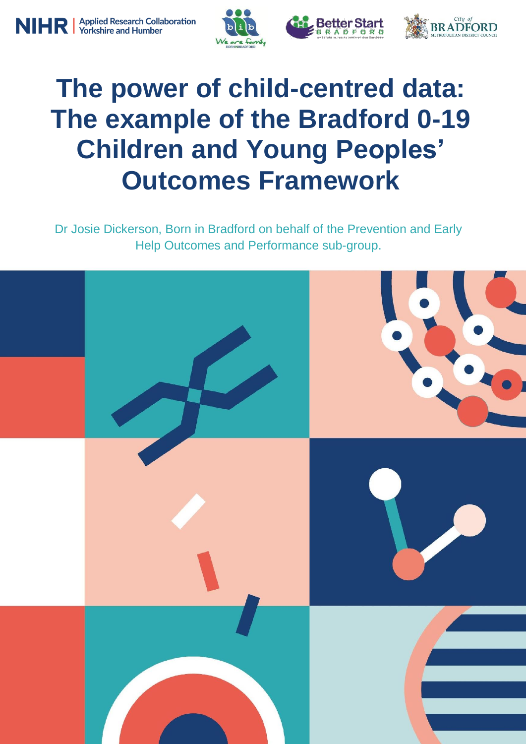





# **The power of child-centred data: The example of the Bradford 0-19 Children and Young Peoples' Outcomes Framework**

Dr Josie Dickerson, Born in Bradford on behalf of the Prevention and Early Help Outcomes and Performance sub-group.

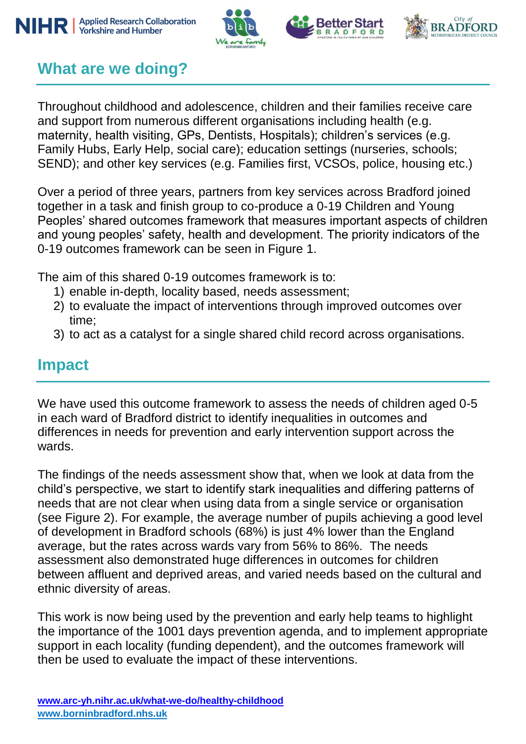





# **What are we doing?**

Throughout childhood and adolescence, children and their families receive care and support from numerous different organisations including health (e.g. maternity, health visiting, GPs, Dentists, Hospitals); children's services (e.g. Family Hubs, Early Help, social care); education settings (nurseries, schools; SEND); and other key services (e.g. Families first, VCSOs, police, housing etc.)

Over a period of three years, partners from key services across Bradford joined together in a task and finish group to co-produce a 0-19 Children and Young Peoples' shared outcomes framework that measures important aspects of children and young peoples' safety, health and development. The priority indicators of the 0-19 outcomes framework can be seen in Figure 1.

The aim of this shared 0-19 outcomes framework is to:

- 1) enable in-depth, locality based, needs assessment;
- 2) to evaluate the impact of interventions through improved outcomes over time;
- 3) to act as a catalyst for a single shared child record across organisations.

#### **Impact**

We have used this outcome framework to assess the needs of children aged 0-5 in each ward of Bradford district to identify inequalities in outcomes and differences in needs for prevention and early intervention support across the wards.

The findings of the needs assessment show that, when we look at data from the child's perspective, we start to identify stark inequalities and differing patterns of needs that are not clear when using data from a single service or organisation (see Figure 2). For example, the average number of pupils achieving a good level of development in Bradford schools (68%) is just 4% lower than the England average, but the rates across wards vary from 56% to 86%. The needs assessment also demonstrated huge differences in outcomes for children between affluent and deprived areas, and varied needs based on the cultural and ethnic diversity of areas.

This work is now being used by the prevention and early help teams to highlight the importance of the 1001 days prevention agenda, and to implement appropriate support in each locality (funding dependent), and the outcomes framework will then be used to evaluate the impact of these interventions.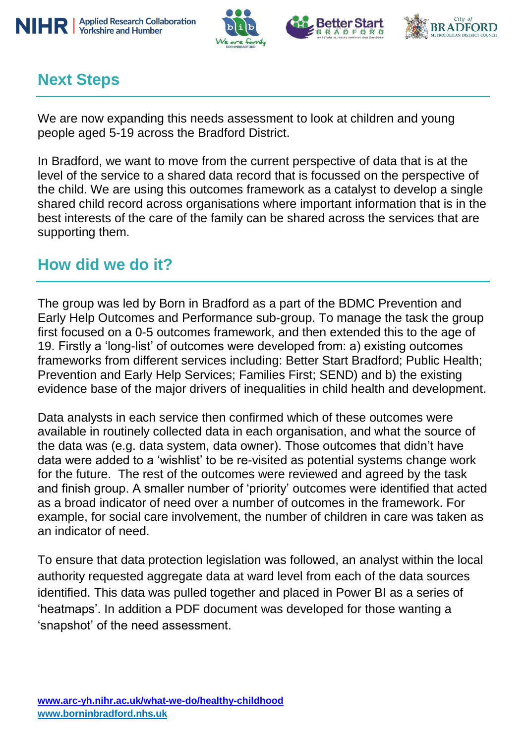







# **Next Steps**

We are now expanding this needs assessment to look at children and young people aged 5-19 across the Bradford District.

In Bradford, we want to move from the current perspective of data that is at the level of the service to a shared data record that is focussed on the perspective of the child. We are using this outcomes framework as a catalyst to develop a single shared child record across organisations where important information that is in the best interests of the care of the family can be shared across the services that are supporting them.

### **How did we do it?**

The group was led by Born in Bradford as a part of the BDMC Prevention and Early Help Outcomes and Performance sub-group. To manage the task the group first focused on a 0-5 outcomes framework, and then extended this to the age of 19. Firstly a 'long-list' of outcomes were developed from: a) existing outcomes frameworks from different services including: Better Start Bradford; Public Health; Prevention and Early Help Services; Families First; SEND) and b) the existing evidence base of the major drivers of inequalities in child health and development.

Data analysts in each service then confirmed which of these outcomes were available in routinely collected data in each organisation, and what the source of the data was (e.g. data system, data owner). Those outcomes that didn't have data were added to a 'wishlist' to be re-visited as potential systems change work for the future. The rest of the outcomes were reviewed and agreed by the task and finish group. A smaller number of 'priority' outcomes were identified that acted as a broad indicator of need over a number of outcomes in the framework. For example, for social care involvement, the number of children in care was taken as an indicator of need.

To ensure that data protection legislation was followed, an analyst within the local authority requested aggregate data at ward level from each of the data sources identified. This data was pulled together and placed in Power BI as a series of 'heatmaps'. In addition a PDF document was developed for those wanting a 'snapshot' of the need assessment.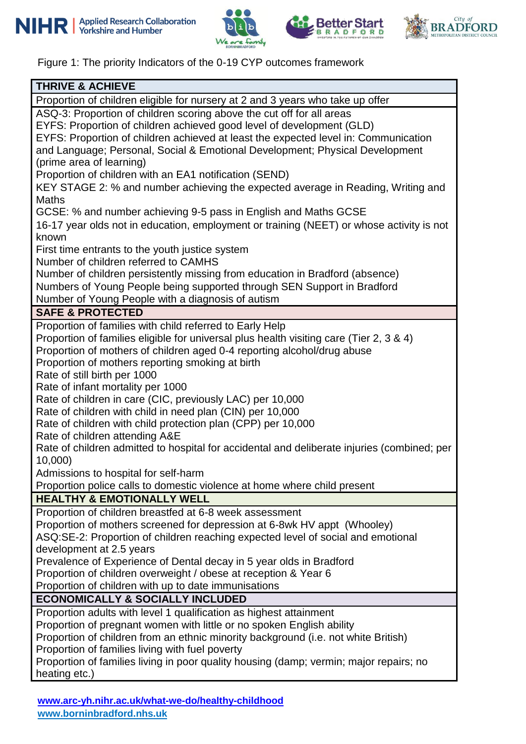







Figure 1: The priority Indicators of the 0-19 CYP outcomes framework

| <b>THRIVE &amp; ACHIEVE</b>                                                                            |  |  |  |  |
|--------------------------------------------------------------------------------------------------------|--|--|--|--|
| Proportion of children eligible for nursery at 2 and 3 years who take up offer                         |  |  |  |  |
| ASQ-3: Proportion of children scoring above the cut off for all areas                                  |  |  |  |  |
| EYFS: Proportion of children achieved good level of development (GLD)                                  |  |  |  |  |
| EYFS: Proportion of children achieved at least the expected level in: Communication                    |  |  |  |  |
| and Language; Personal, Social & Emotional Development; Physical Development                           |  |  |  |  |
| (prime area of learning)                                                                               |  |  |  |  |
| Proportion of children with an EA1 notification (SEND)                                                 |  |  |  |  |
| KEY STAGE 2: % and number achieving the expected average in Reading, Writing and<br><b>Maths</b>       |  |  |  |  |
| GCSE: % and number achieving 9-5 pass in English and Maths GCSE                                        |  |  |  |  |
| 16-17 year olds not in education, employment or training (NEET) or whose activity is not               |  |  |  |  |
| known                                                                                                  |  |  |  |  |
| First time entrants to the youth justice system                                                        |  |  |  |  |
| Number of children referred to CAMHS                                                                   |  |  |  |  |
| Number of children persistently missing from education in Bradford (absence)                           |  |  |  |  |
| Numbers of Young People being supported through SEN Support in Bradford                                |  |  |  |  |
| Number of Young People with a diagnosis of autism                                                      |  |  |  |  |
| <b>SAFE &amp; PROTECTED</b>                                                                            |  |  |  |  |
| Proportion of families with child referred to Early Help                                               |  |  |  |  |
| Proportion of families eligible for universal plus health visiting care (Tier 2, 3 & 4)                |  |  |  |  |
| Proportion of mothers of children aged 0-4 reporting alcohol/drug abuse                                |  |  |  |  |
| Proportion of mothers reporting smoking at birth                                                       |  |  |  |  |
| Rate of still birth per 1000                                                                           |  |  |  |  |
| Rate of infant mortality per 1000                                                                      |  |  |  |  |
| Rate of children in care (CIC, previously LAC) per 10,000                                              |  |  |  |  |
| Rate of children with child in need plan (CIN) per 10,000                                              |  |  |  |  |
| Rate of children with child protection plan (CPP) per 10,000                                           |  |  |  |  |
| Rate of children attending A&E                                                                         |  |  |  |  |
| Rate of children admitted to hospital for accidental and deliberate injuries (combined; per<br>10,000) |  |  |  |  |
| Admissions to hospital for self-harm                                                                   |  |  |  |  |
| Proportion police calls to domestic violence at home where child present                               |  |  |  |  |
| <b>HEALTHY &amp; EMOTIONALLY WELL</b>                                                                  |  |  |  |  |
| Proportion of children breastfed at 6-8 week assessment                                                |  |  |  |  |
| Proportion of mothers screened for depression at 6-8wk HV appt (Whooley)                               |  |  |  |  |
| ASQ:SE-2: Proportion of children reaching expected level of social and emotional                       |  |  |  |  |
| development at 2.5 years                                                                               |  |  |  |  |
| Prevalence of Experience of Dental decay in 5 year olds in Bradford                                    |  |  |  |  |
| Proportion of children overweight / obese at reception & Year 6                                        |  |  |  |  |
| Proportion of children with up to date immunisations                                                   |  |  |  |  |
| <b>ECONOMICALLY &amp; SOCIALLY INCLUDED</b>                                                            |  |  |  |  |
| Proportion adults with level 1 qualification as highest attainment                                     |  |  |  |  |
| Proportion of pregnant women with little or no spoken English ability                                  |  |  |  |  |
| Proportion of children from an ethnic minority background (i.e. not white British)                     |  |  |  |  |
| Proportion of families living with fuel poverty                                                        |  |  |  |  |
| Proportion of families living in poor quality housing (damp; vermin; major repairs; no                 |  |  |  |  |
| heating etc.)                                                                                          |  |  |  |  |

**[www.arc-yh.nihr.ac.uk/what-we-do/healthy-childhood](http://www.arc-yh.nihr.ac.uk/what-we-do/healthy-childhood) www.borninbradford.nhs.uk**